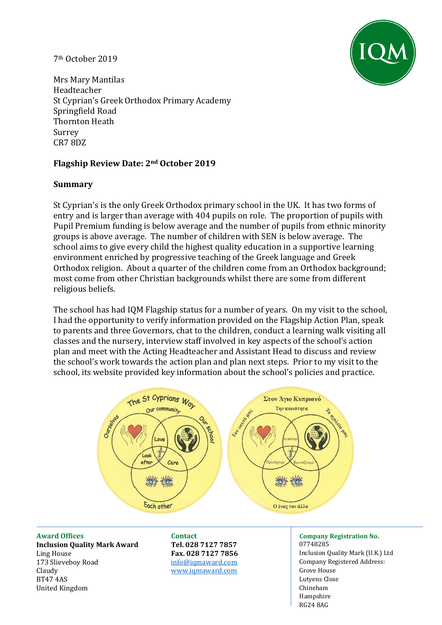## 7th October 2019



Mrs Mary Mantilas Headteacher St Cyprian's Greek Orthodox Primary Academy Springfield Road Thornton Heath Surrey CR7 8DZ

# **Flagship Review Date: 2nd October 2019**

## **Summary**

St Cyprian's is the only Greek Orthodox primary school in the UK. It has two forms of entry and is larger than average with 404 pupils on role. The proportion of pupils with Pupil Premium funding is below average and the number of pupils from ethnic minority groups is above average. The number of children with SEN is below average. The school aims to give every child the highest quality education in a supportive learning environment enriched by progressive teaching of the Greek language and Greek Orthodox religion. About a quarter of the children come from an Orthodox background; most come from other Christian backgrounds whilst there are some from different religious beliefs.

The school has had IQM Flagship status for a number of years. On my visit to the school, I had the opportunity to verify information provided on the Flagship Action Plan, speak to parents and three Governors, chat to the children, conduct a learning walk visiting all classes and the nursery, interview staff involved in key aspects of the school's action plan and meet with the Acting Headteacher and Assistant Head to discuss and review the school's work towards the action plan and plan next steps. Prior to my visit to the school, its website provided key information about the school's policies and practice.



**Award Offices Contact Company Registration No. Inclusion Quality Mark Award Tel. 028 7127 7857** 07748285 Ling House **Fax. 028 7127 7856** Inclusion Quality Mark (U.K.) Ltd 173 Slieveboy Road info@igmaward.com company Registered Address: Claudy [www.iqmaward.com](http://www.iqmaward.com/) Grove House BT47 4AS Lutyens Close United Kingdom Chineham Chineham Chineham Chineham Chineham Chineham Chineham Chineham Chineham Chineham Chineham

Hampshire RG24 8AG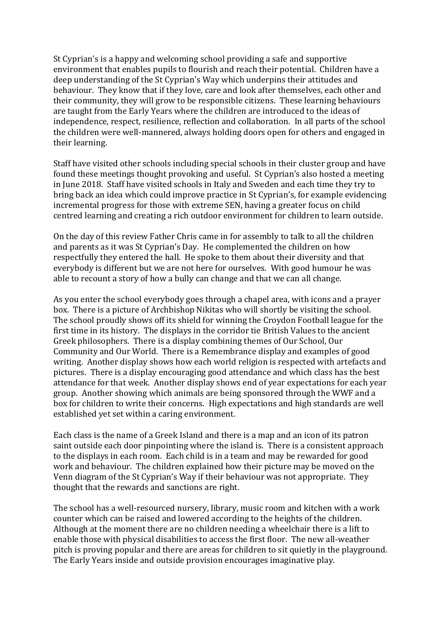St Cyprian's is a happy and welcoming school providing a safe and supportive environment that enables pupils to flourish and reach their potential. Children have a deep understanding of the St Cyprian's Way which underpins their attitudes and behaviour. They know that if they love, care and look after themselves, each other and their community, they will grow to be responsible citizens. These learning behaviours are taught from the Early Years where the children are introduced to the ideas of independence, respect, resilience, reflection and collaboration. In all parts of the school the children were well-mannered, always holding doors open for others and engaged in their learning.

Staff have visited other schools including special schools in their cluster group and have found these meetings thought provoking and useful. St Cyprian's also hosted a meeting in June 2018. Staff have visited schools in Italy and Sweden and each time they try to bring back an idea which could improve practice in St Cyprian's, for example evidencing incremental progress for those with extreme SEN, having a greater focus on child centred learning and creating a rich outdoor environment for children to learn outside.

On the day of this review Father Chris came in for assembly to talk to all the children and parents as it was St Cyprian's Day. He complemented the children on how respectfully they entered the hall. He spoke to them about their diversity and that everybody is different but we are not here for ourselves. With good humour he was able to recount a story of how a bully can change and that we can all change.

As you enter the school everybody goes through a chapel area, with icons and a prayer box. There is a picture of Archbishop Nikitas who will shortly be visiting the school. The school proudly shows off its shield for winning the Croydon Football league for the first time in its history. The displays in the corridor tie British Values to the ancient Greek philosophers. There is a display combining themes of Our School, Our Community and Our World. There is a Remembrance display and examples of good writing. Another display shows how each world religion is respected with artefacts and pictures. There is a display encouraging good attendance and which class has the best attendance for that week. Another display shows end of year expectations for each year group. Another showing which animals are being sponsored through the WWF and a box for children to write their concerns. High expectations and high standards are well established yet set within a caring environment.

Each class is the name of a Greek Island and there is a map and an icon of its patron saint outside each door pinpointing where the island is. There is a consistent approach to the displays in each room. Each child is in a team and may be rewarded for good work and behaviour. The children explained how their picture may be moved on the Venn diagram of the St Cyprian's Way if their behaviour was not appropriate. They thought that the rewards and sanctions are right.

The school has a well-resourced nursery, library, music room and kitchen with a work counter which can be raised and lowered according to the heights of the children. Although at the moment there are no children needing a wheelchair there is a lift to enable those with physical disabilities to access the first floor. The new all-weather pitch is proving popular and there are areas for children to sit quietly in the playground. The Early Years inside and outside provision encourages imaginative play.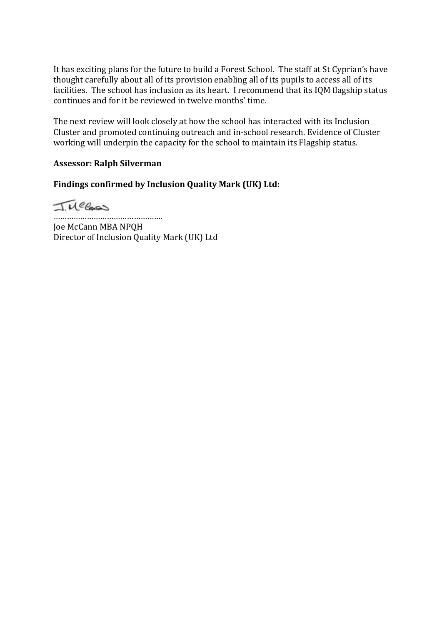It has exciting plans for the future to build a Forest School. The staff at St Cyprian's have thought carefully about all of its provision enabling all of its pupils to access all of its facilities. The school has inclusion as its heart. I recommend that its IQM flagship status continues and for it be reviewed in twelve months' time.

The next review will look closely at how the school has interacted with its Inclusion Cluster and promoted continuing outreach and in-school research. Evidence of Cluster working will underpin the capacity for the school to maintain its Flagship status.

## **Assessor: Ralph Silverman**

**Findings confirmed by Inclusion Quality Mark (UK) Ltd:** 

Tuecas

…………………………………………. Joe McCann MBA NPQH Director of Inclusion Quality Mark (UK) Ltd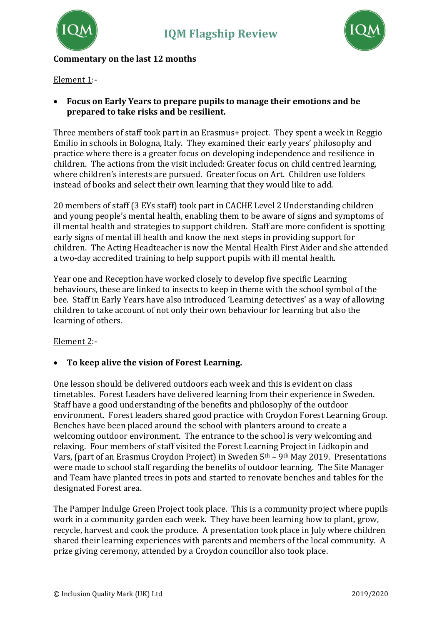

# **Commentary on the last 12 months**

Element 1:-

• **Focus on Early Years to prepare pupils to manage their emotions and be prepared to take risks and be resilient.**

Three members of staff took part in an Erasmus+ project. They spent a week in Reggio Emilio in schools in Bologna, Italy. They examined their early years' philosophy and practice where there is a greater focus on developing independence and resilience in children. The actions from the visit included: Greater focus on child centred learning, where children's interests are pursued. Greater focus on Art. Children use folders instead of books and select their own learning that they would like to add.

20 members of staff (3 EYs staff) took part in CACHE Level 2 Understanding children and young people's mental health, enabling them to be aware of signs and symptoms of ill mental health and strategies to support children. Staff are more confident is spotting early signs of mental ill health and know the next steps in providing support for children. The Acting Headteacher is now the Mental Health First Aider and she attended a two-day accredited training to help support pupils with ill mental health.

Year one and Reception have worked closely to develop five specific Learning behaviours, these are linked to insects to keep in theme with the school symbol of the bee. Staff in Early Years have also introduced 'Learning detectives' as a way of allowing children to take account of not only their own behaviour for learning but also the learning of others.

## Element 2:-

## • **To keep alive the vision of Forest Learning.**

One lesson should be delivered outdoors each week and this is evident on class timetables. Forest Leaders have delivered learning from their experience in Sweden. Staff have a good understanding of the benefits and philosophy of the outdoor environment. Forest leaders shared good practice with Croydon Forest Learning Group. Benches have been placed around the school with planters around to create a welcoming outdoor environment. The entrance to the school is very welcoming and relaxing. Four members of staff visited the Forest Learning Project in Lidkopin and Vars, (part of an Erasmus Croydon Project) in Sweden 5<sup>th</sup> – 9<sup>th</sup> May 2019. Presentations were made to school staff regarding the benefits of outdoor learning. The Site Manager and Team have planted trees in pots and started to renovate benches and tables for the designated Forest area.

The Pamper Indulge Green Project took place. This is a community project where pupils work in a community garden each week. They have been learning how to plant, grow, recycle, harvest and cook the produce. A presentation took place in July where children shared their learning experiences with parents and members of the local community. A prize giving ceremony, attended by a Croydon councillor also took place.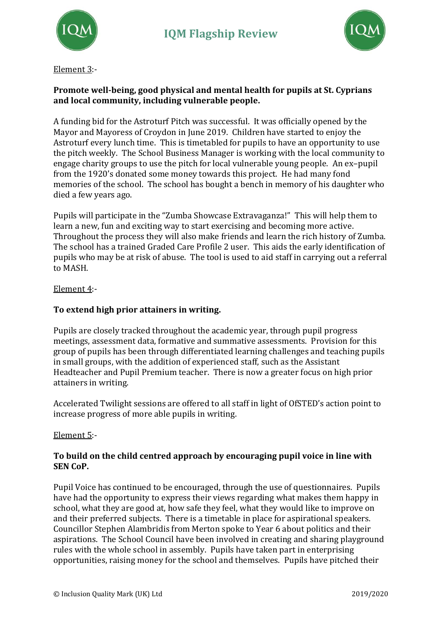



Element 3:-

# **Promote well-being, good physical and mental health for pupils at St. Cyprians and local community, including vulnerable people.**

A funding bid for the Astroturf Pitch was successful. It was officially opened by the Mayor and Mayoress of Croydon in June 2019. Children have started to enjoy the Astroturf every lunch time. This is timetabled for pupils to have an opportunity to use the pitch weekly. The School Business Manager is working with the local community to engage charity groups to use the pitch for local vulnerable young people. An ex–pupil from the 1920's donated some money towards this project. He had many fond memories of the school. The school has bought a bench in memory of his daughter who died a few years ago.

Pupils will participate in the "Zumba Showcase Extravaganza!" This will help them to learn a new, fun and exciting way to start exercising and becoming more active. Throughout the process they will also make friends and learn the rich history of Zumba. The school has a trained Graded Care Profile 2 user. This aids the early identification of pupils who may be at risk of abuse. The tool is used to aid staff in carrying out a referral to MASH.

Element 4:-

# **To extend high prior attainers in writing.**

Pupils are closely tracked throughout the academic year, through pupil progress meetings, assessment data, formative and summative assessments. Provision for this group of pupils has been through differentiated learning challenges and teaching pupils in small groups, with the addition of experienced staff, such as the Assistant Headteacher and Pupil Premium teacher. There is now a greater focus on high prior attainers in writing.

Accelerated Twilight sessions are offered to all staff in light of OfSTED's action point to increase progress of more able pupils in writing.

# Element 5:-

## **To build on the child centred approach by encouraging pupil voice in line with SEN CoP.**

Pupil Voice has continued to be encouraged, through the use of questionnaires. Pupils have had the opportunity to express their views regarding what makes them happy in school, what they are good at, how safe they feel, what they would like to improve on and their preferred subjects. There is a timetable in place for aspirational speakers. Councillor Stephen Alambridis from Merton spoke to Year 6 about politics and their aspirations. The School Council have been involved in creating and sharing playground rules with the whole school in assembly. Pupils have taken part in enterprising opportunities, raising money for the school and themselves. Pupils have pitched their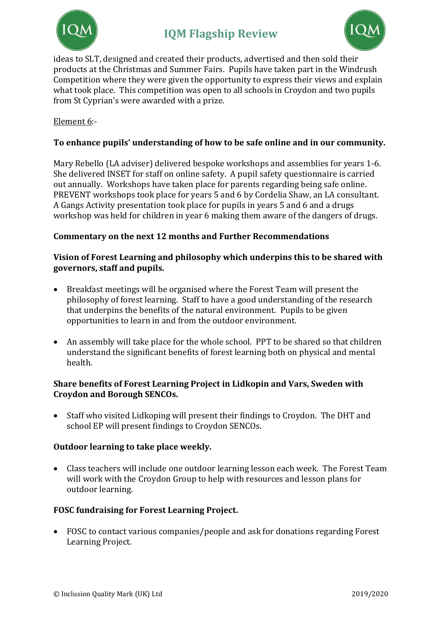



ideas to SLT, designed and created their products, advertised and then sold their products at the Christmas and Summer Fairs. Pupils have taken part in the Windrush Competition where they were given the opportunity to express their views and explain what took place. This competition was open to all schools in Croydon and two pupils from St Cyprian's were awarded with a prize.

# Element 6:-

## **To enhance pupils' understanding of how to be safe online and in our community.**

Mary Rebello (LA adviser) delivered bespoke workshops and assemblies for years 1-6. She delivered INSET for staff on online safety. A pupil safety questionnaire is carried out annually. Workshops have taken place for parents regarding being safe online. PREVENT workshops took place for years 5 and 6 by Cordelia Shaw, an LA consultant. A Gangs Activity presentation took place for pupils in years 5 and 6 and a drugs workshop was held for children in year 6 making them aware of the dangers of drugs.

## **Commentary on the next 12 months and Further Recommendations**

## **Vision of Forest Learning and philosophy which underpins this to be shared with governors, staff and pupils.**

- Breakfast meetings will be organised where the Forest Team will present the philosophy of forest learning. Staff to have a good understanding of the research that underpins the benefits of the natural environment. Pupils to be given opportunities to learn in and from the outdoor environment.
- An assembly will take place for the whole school. PPT to be shared so that children understand the significant benefits of forest learning both on physical and mental health.

## **Share benefits of Forest Learning Project in Lidkopin and Vars, Sweden with Croydon and Borough SENCOs.**

• Staff who visited Lidkoping will present their findings to Croydon. The DHT and school EP will present findings to Croydon SENCOs.

## **Outdoor learning to take place weekly.**

• Class teachers will include one outdoor learning lesson each week. The Forest Team will work with the Croydon Group to help with resources and lesson plans for outdoor learning.

## **FOSC fundraising for Forest Learning Project.**

• FOSC to contact various companies/people and ask for donations regarding Forest Learning Project.